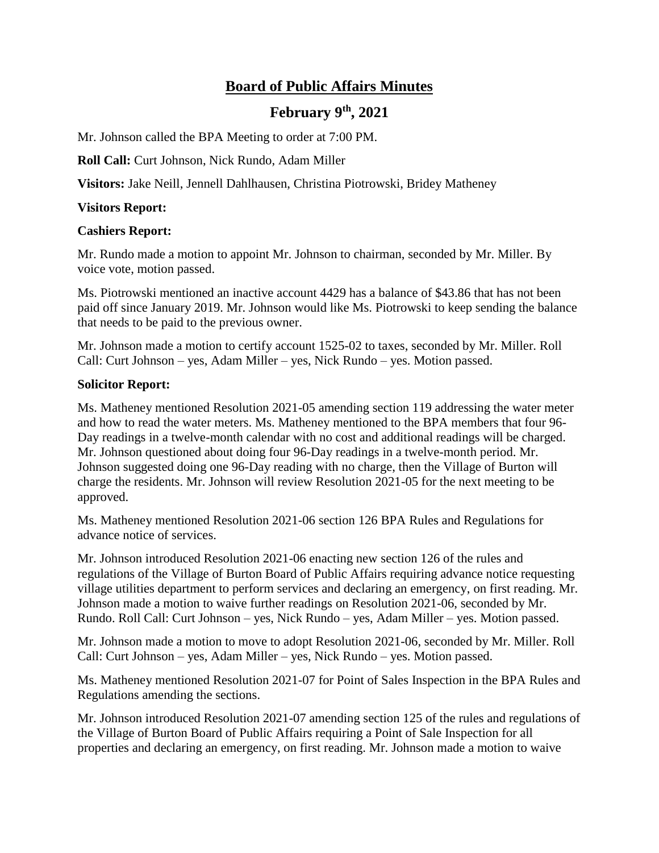# **Board of Public Affairs Minutes**

## **February 9th, 2021**

Mr. Johnson called the BPA Meeting to order at 7:00 PM.

**Roll Call:** Curt Johnson, Nick Rundo, Adam Miller

**Visitors:** Jake Neill, Jennell Dahlhausen, Christina Piotrowski, Bridey Matheney

### **Visitors Report:**

#### **Cashiers Report:**

Mr. Rundo made a motion to appoint Mr. Johnson to chairman, seconded by Mr. Miller. By voice vote, motion passed.

Ms. Piotrowski mentioned an inactive account 4429 has a balance of \$43.86 that has not been paid off since January 2019. Mr. Johnson would like Ms. Piotrowski to keep sending the balance that needs to be paid to the previous owner.

Mr. Johnson made a motion to certify account 1525-02 to taxes, seconded by Mr. Miller. Roll Call: Curt Johnson – yes, Adam Miller – yes, Nick Rundo – yes. Motion passed.

#### **Solicitor Report:**

Ms. Matheney mentioned Resolution 2021-05 amending section 119 addressing the water meter and how to read the water meters. Ms. Matheney mentioned to the BPA members that four 96- Day readings in a twelve-month calendar with no cost and additional readings will be charged. Mr. Johnson questioned about doing four 96-Day readings in a twelve-month period. Mr. Johnson suggested doing one 96-Day reading with no charge, then the Village of Burton will charge the residents. Mr. Johnson will review Resolution 2021-05 for the next meeting to be approved.

Ms. Matheney mentioned Resolution 2021-06 section 126 BPA Rules and Regulations for advance notice of services.

Mr. Johnson introduced Resolution 2021-06 enacting new section 126 of the rules and regulations of the Village of Burton Board of Public Affairs requiring advance notice requesting village utilities department to perform services and declaring an emergency, on first reading. Mr. Johnson made a motion to waive further readings on Resolution 2021-06, seconded by Mr. Rundo. Roll Call: Curt Johnson – yes, Nick Rundo – yes, Adam Miller – yes. Motion passed.

Mr. Johnson made a motion to move to adopt Resolution 2021-06, seconded by Mr. Miller. Roll Call: Curt Johnson – yes, Adam Miller – yes, Nick Rundo – yes. Motion passed.

Ms. Matheney mentioned Resolution 2021-07 for Point of Sales Inspection in the BPA Rules and Regulations amending the sections.

Mr. Johnson introduced Resolution 2021-07 amending section 125 of the rules and regulations of the Village of Burton Board of Public Affairs requiring a Point of Sale Inspection for all properties and declaring an emergency, on first reading. Mr. Johnson made a motion to waive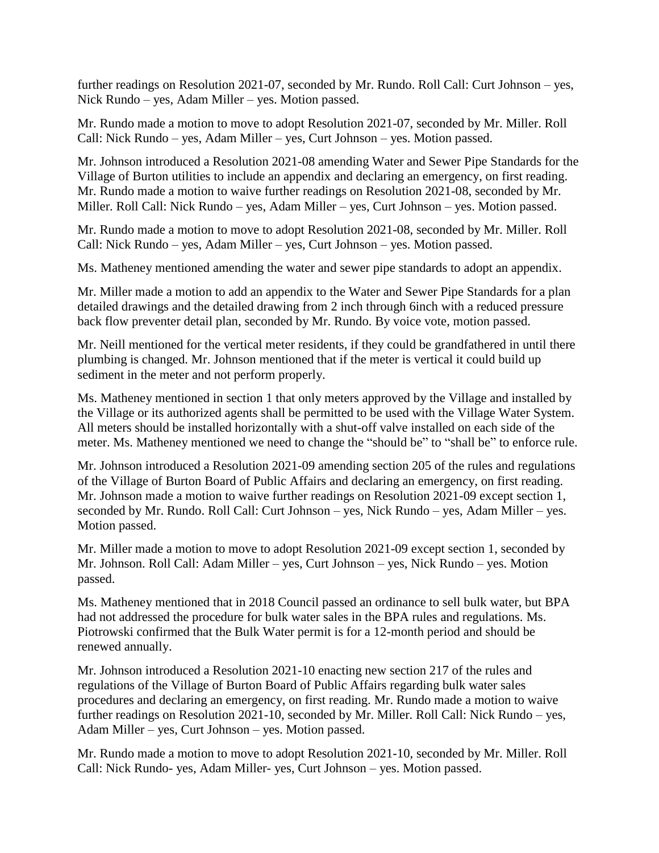further readings on Resolution 2021-07, seconded by Mr. Rundo. Roll Call: Curt Johnson – yes, Nick Rundo – yes, Adam Miller – yes. Motion passed.

Mr. Rundo made a motion to move to adopt Resolution 2021-07, seconded by Mr. Miller. Roll Call: Nick Rundo – yes, Adam Miller – yes, Curt Johnson – yes. Motion passed.

Mr. Johnson introduced a Resolution 2021-08 amending Water and Sewer Pipe Standards for the Village of Burton utilities to include an appendix and declaring an emergency, on first reading. Mr. Rundo made a motion to waive further readings on Resolution 2021-08, seconded by Mr. Miller. Roll Call: Nick Rundo – yes, Adam Miller – yes, Curt Johnson – yes. Motion passed.

Mr. Rundo made a motion to move to adopt Resolution 2021-08, seconded by Mr. Miller. Roll Call: Nick Rundo – yes, Adam Miller – yes, Curt Johnson – yes. Motion passed.

Ms. Matheney mentioned amending the water and sewer pipe standards to adopt an appendix.

Mr. Miller made a motion to add an appendix to the Water and Sewer Pipe Standards for a plan detailed drawings and the detailed drawing from 2 inch through 6inch with a reduced pressure back flow preventer detail plan, seconded by Mr. Rundo. By voice vote, motion passed.

Mr. Neill mentioned for the vertical meter residents, if they could be grandfathered in until there plumbing is changed. Mr. Johnson mentioned that if the meter is vertical it could build up sediment in the meter and not perform properly.

Ms. Matheney mentioned in section 1 that only meters approved by the Village and installed by the Village or its authorized agents shall be permitted to be used with the Village Water System. All meters should be installed horizontally with a shut-off valve installed on each side of the meter. Ms. Matheney mentioned we need to change the "should be" to "shall be" to enforce rule.

Mr. Johnson introduced a Resolution 2021-09 amending section 205 of the rules and regulations of the Village of Burton Board of Public Affairs and declaring an emergency, on first reading. Mr. Johnson made a motion to waive further readings on Resolution 2021-09 except section 1, seconded by Mr. Rundo. Roll Call: Curt Johnson – yes, Nick Rundo – yes, Adam Miller – yes. Motion passed.

Mr. Miller made a motion to move to adopt Resolution 2021-09 except section 1, seconded by Mr. Johnson. Roll Call: Adam Miller – yes, Curt Johnson – yes, Nick Rundo – yes. Motion passed.

Ms. Matheney mentioned that in 2018 Council passed an ordinance to sell bulk water, but BPA had not addressed the procedure for bulk water sales in the BPA rules and regulations. Ms. Piotrowski confirmed that the Bulk Water permit is for a 12-month period and should be renewed annually.

Mr. Johnson introduced a Resolution 2021-10 enacting new section 217 of the rules and regulations of the Village of Burton Board of Public Affairs regarding bulk water sales procedures and declaring an emergency, on first reading. Mr. Rundo made a motion to waive further readings on Resolution 2021-10, seconded by Mr. Miller. Roll Call: Nick Rundo – yes, Adam Miller – yes, Curt Johnson – yes. Motion passed.

Mr. Rundo made a motion to move to adopt Resolution 2021-10, seconded by Mr. Miller. Roll Call: Nick Rundo- yes, Adam Miller- yes, Curt Johnson – yes. Motion passed.